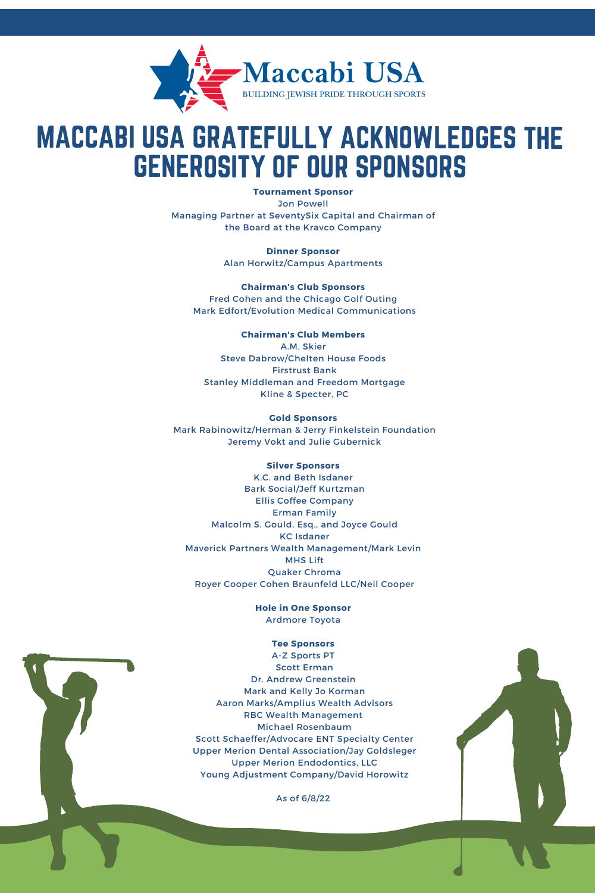**Tournament Sponsor**

Jon Powell Managing Partner at SeventySix Capital and Chairman of the Board at the Kravco Company

> **Dinner Sponsor** Alan Horwitz/Campus Apartments

### **Chairman's Club Sponsors**

Fred Cohen and the Chicago Golf Outing Mark Edfort/Evolution Medical Communications

### **Chairman's Club Members**

A.M. Skier Steve Dabrow/Chelten House Foods Firstrust Bank Stanley Middleman and Freedom Mortgage Kline & Specter, PC

#### **Gold Sponsors**

Mark Rabinowitz/Herman & Jerry Finkelstein Foundation Jeremy Vokt and Julie Gubernick

#### **Silver Sponsors**

K.C. and Beth Isdaner Bark Social/Jeff Kurtzman Ellis Coffee Company Erman Family Malcolm S. Gould, Esq., and Joyce Gould KC Isdaner Maverick Partners Wealth Management/Mark Levin MHS Lift Quaker Chroma Royer Cooper Cohen Braunfeld LLC/Neil Cooper

### **Hole in One Sponsor**

Ardmore Toyota



**Tee Sponsors** A-Z Sports PT Scott Erman Dr. Andrew Greenstein Mark and Kelly Jo Korman Aaron Marks/Amplius Wealth Advisors RBC Wealth Management Michael Rosenbaum Scott Schaeffer/Advocare ENT Specialty Center Upper Merion Dental Association/Jay Goldsleger Upper Merion Endodontics, LLC Young Adjustment Company/David Horowitz

As of 6/8/22



# MACCABI USA GRATEFULLY ACKNOWLEDGES THE GENEROSITY OF OUR SPONSORS